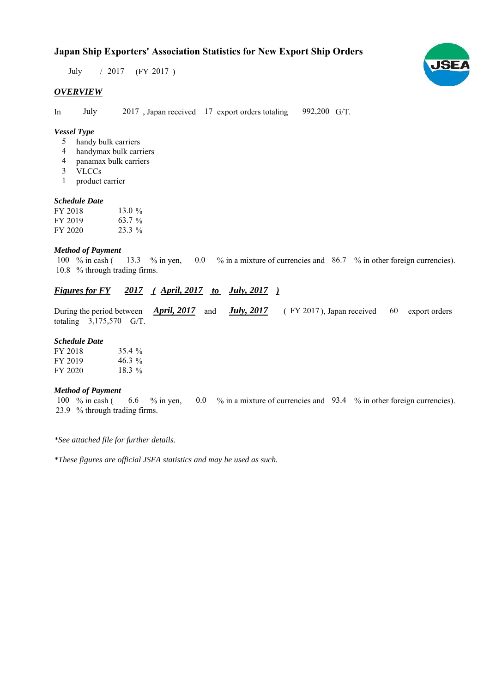# **Japan Ship Exporters' Association Statistics for New Export Ship Orders**

 $/ 2017$  (FY 2017) July

### *OVERVIEW*

In July 2017, Japan received 17 export orders totaling 992,200 G/T.

## *Vessel Type*

- handy bulk carriers 5
- handymax bulk carriers 4
- panamax bulk carriers 4
- VLCCs 3
- product carrier 1

#### *Schedule Date*

| FY 2018 | 13.0 $\%$ |
|---------|-----------|
| FY 2019 | 63.7 $\%$ |
| FY 2020 | $23.3\%$  |

#### *Method of Payment*

% in cash ( $\frac{13.3}{8}$  % in yen, 0.0 % in a mixture of currencies and 86.7 % in other foreign currencies). 10.8 % through trading firms. 13.3 % in yen, 100  $%$  in cash (

# *Figures for FY* 2017 (April, 2017 *to July, 2017*)

During the period between *April, 2017* and *July, 2017* (FY 2017), Japan received 60 export orders totaling  $3,175,570$  G/T. 60

#### *Schedule Date*

| FY 2018 | 35.4%     |
|---------|-----------|
| FY 2019 | 46.3 $\%$ |
| FY 2020 | $18.3\%$  |

#### *Method of Payment*

100 % in cash ( 6.6 % in yen, 0.0 % in a mixture of currencies and 93.4 % in other foreign currencies). % through trading firms. 23.9

*\*See attached file for further details.*

*\*These figures are official JSEA statistics and may be used as such.*

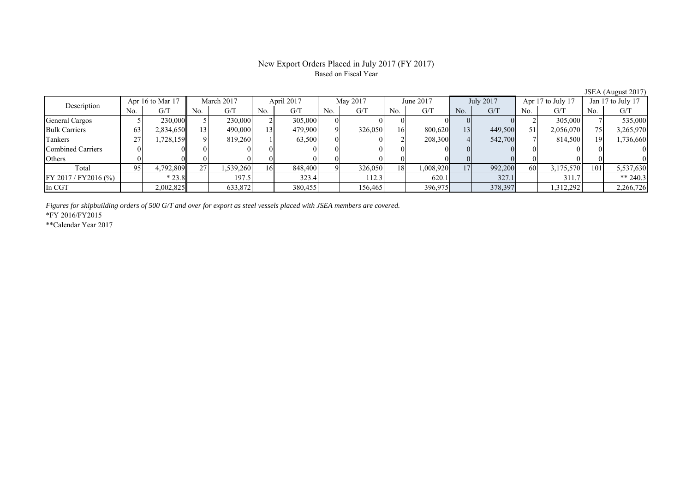## New Export Orders Placed in July 2017 (FY 2017) Based on Fiscal Year

| $\frac{1}{2}$         |     |                  |     |            |     |            |          |          |     |           |     |           |     |                   |     |                   |
|-----------------------|-----|------------------|-----|------------|-----|------------|----------|----------|-----|-----------|-----|-----------|-----|-------------------|-----|-------------------|
| Description           |     | Apr 16 to Mar 17 |     | March 2017 |     | April 2017 |          | May 2017 |     | June 2017 |     | July 2017 |     | Apr 17 to July 17 |     | Jan 17 to July 17 |
|                       | No. | G/T              | No. | G/I        | No. | G/T        | No.      | G/T      | No. | G/T       | No. | G/T       | No. | G/T               | No. | G/T               |
| General Cargos        |     | 230,000          |     | 230,000    |     | 305,000    |          |          |     |           |     |           |     | 305,000           |     | 535,000           |
| <b>Bulk Carriers</b>  | 63  | 2,834,650        | 131 | 490,000    | 131 | 479,900    | $\Omega$ | 326,050  | 16  | 800.620   | 13  | 449,500   | 51  | 2,056,070         |     | 3,265,970         |
| Tankers               | 27  | .728,1591        | ΩI  | 819.260    |     | 63,500     |          |          |     | 208,300   |     | 542,700   |     | 814,500           | 19  | 1,736,660         |
| Combined Carriers     |     |                  |     |            |     |            |          |          |     |           |     |           |     |                   |     |                   |
| Others                |     |                  |     |            |     |            |          |          |     |           |     |           |     |                   |     |                   |
| Total                 | 95  | 4,792,809        | 27  | 1,539,260  | 16  | 848,400    |          | 326,050  | 18  | 1,008,920 | 17  | 992,200   | 60  | 3,175,570         | 101 | 5,537,630         |
| FY 2017 / FY 2016 (%) |     | $*23.8$          |     | 197.5      |     | 323.4      |          | 112.3    |     | 620.1     |     | 327.1     |     | 311.7             |     | ** 240.3          |
| In CGT                |     | 2,002,825        |     | 633,872    |     | 380,455    |          | 156,465  |     | 396,975   |     | 378,397   |     | 1,312,292         |     | 2,266,726         |

*Figures for shipbuilding orders of 500 G/T and over for export as steel vessels placed with JSEA members are covered.*

\*FY 2016/FY2015

\*\*Calendar Year 2017

JSEA (August 2017)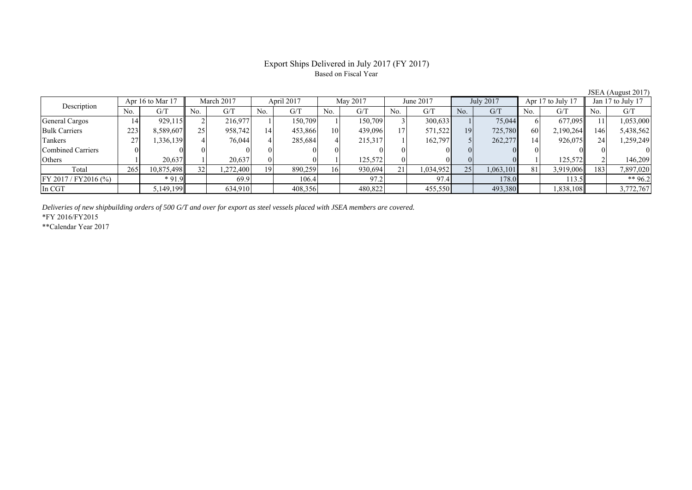## Export Ships Delivered in July 2017 (FY 2017) Based on Fiscal Year

|                          |     |                    |     |            |     |            |     |          |                |           |                |           |                |                   |     | $0.0111$ ( <i>I</i> Magnot $2011$ |  |
|--------------------------|-----|--------------------|-----|------------|-----|------------|-----|----------|----------------|-----------|----------------|-----------|----------------|-------------------|-----|-----------------------------------|--|
| Description              |     | Apr 16 to Mar $17$ |     | March 2017 |     | April 2017 |     | May 2017 |                | June 2017 |                | July 2017 |                | Apr 17 to July 17 |     | Jan 17 to July 17                 |  |
|                          | No. | G/T                | No. | G/T        | No. | G/T        | No. | G/T      | N <sub>0</sub> | G/T       | N <sub>o</sub> | G/T       | N <sub>0</sub> | G/T               | No. | G/T                               |  |
| General Cargos           | 14  | 929,115            |     | 216.977    |     | 150.709    |     | 150.709  |                | 300,633   |                | 75,044    |                | 677,095           |     | 1,053,000                         |  |
| <b>Bulk Carriers</b>     | 223 | 8,589,607          | つぐ  | 958,742    | 14  | 453,866    | 10  | 439.096  |                | 571,522   | 19             | 725,780   | 60             | 2,190,264         | 146 | 5,438,562                         |  |
| Tankers                  | 27  | .336.139           |     | 76,044     |     | 285,684    |     | 215,317  |                | 162,797   |                | 262,277   | 14             | 926,075           | 24  | 1,259,249                         |  |
| <b>Combined Carriers</b> |     |                    |     |            |     |            |     |          |                |           |                |           |                |                   |     |                                   |  |
| Others                   |     | 20,637             |     | 20,637     |     |            |     | 125,572  |                |           |                |           |                | 125,572           |     | 146.209                           |  |
| Total                    | 265 | 10,875,498         |     | .272.400   | 19  | 890,259    | 161 | 930,694  | 21             | 1,034,952 | 25             | 1,063,101 | 81             | 3,919,006         | 183 | 7,897,020                         |  |
| $FY 2017 / FY 2016$ (%)  |     | $*91.9$            |     | 69.9       |     | 106.4      |     | 97.2     |                | 97.4      |                | 178.0     |                | 113.5             |     | ** 96.2                           |  |
| In CGT                   |     | 5,149,199          |     | 634,910    |     | 408,356    |     | 480,822  |                | 455,550   |                | 493,380   |                | 1,838,108         |     | 3,772,767                         |  |

*Deliveries of new shipbuilding orders of 500 G/T and over for export as steel vessels placed with JSEA members are covered.*

\*FY 2016/FY2015

\*\*Calendar Year 2017

JSEA (August 2017)